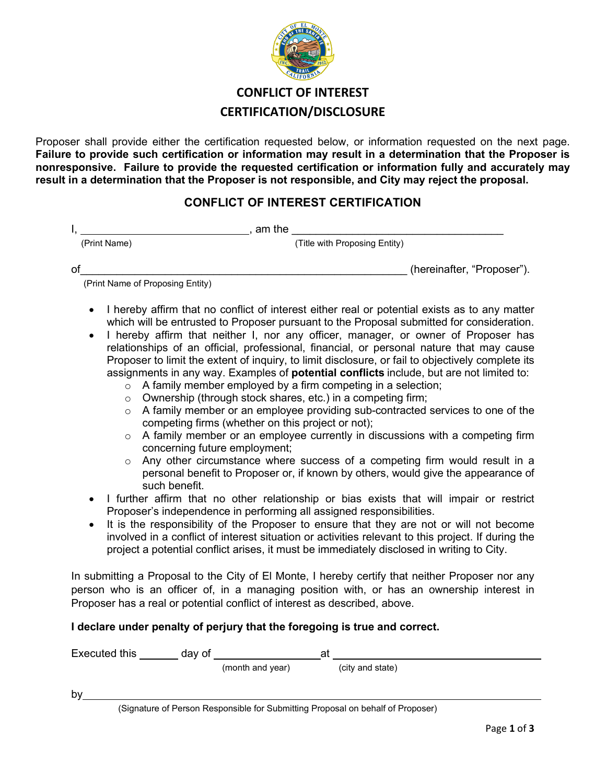

# **CONFLICT OF INTEREST CERTIFICATION/DISCLOSURE**

Proposer shall provide either the certification requested below, or information requested on the next page. **Failure to provide such certification or information may result in a determination that the Proposer is nonresponsive. Failure to provide the requested certification or information fully and accurately may result in a determination that the Proposer is not responsible, and City may reject the proposal.** 

#### **CONFLICT OF INTEREST CERTIFICATION**

 $I,$  am the  $\blacksquare$ 

(Print Name) (Title with Proposing Entity)

of the contract of the contract of the contract of the contract of the contract of the contract of the contract of the contract of the contract of the contract of the contract of the contract of the contract of the contrac

(Print Name of Proposing Entity)

- I hereby affirm that no conflict of interest either real or potential exists as to any matter which will be entrusted to Proposer pursuant to the Proposal submitted for consideration.
- I hereby affirm that neither I, nor any officer, manager, or owner of Proposer has relationships of an official, professional, financial, or personal nature that may cause Proposer to limit the extent of inquiry, to limit disclosure, or fail to objectively complete its assignments in any way. Examples of **potential conflicts** include, but are not limited to:
	- $\circ$  A family member employed by a firm competing in a selection;
	- o Ownership (through stock shares, etc.) in a competing firm;
	- $\circ$  A family member or an employee providing sub-contracted services to one of the competing firms (whether on this project or not);
	- o A family member or an employee currently in discussions with a competing firm concerning future employment;
	- o Any other circumstance where success of a competing firm would result in a personal benefit to Proposer or, if known by others, would give the appearance of such benefit.
- I further affirm that no other relationship or bias exists that will impair or restrict Proposer's independence in performing all assigned responsibilities.
- It is the responsibility of the Proposer to ensure that they are not or will not become involved in a conflict of interest situation or activities relevant to this project. If during the project a potential conflict arises, it must be immediately disclosed in writing to City.

In submitting a Proposal to the City of El Monte, I hereby certify that neither Proposer nor any person who is an officer of, in a managing position with, or has an ownership interest in Proposer has a real or potential conflict of interest as described, above.

#### **I declare under penalty of perjury that the foregoing is true and correct.**

| Executed this |                                                                                 | day of |                  | at |                  |  |
|---------------|---------------------------------------------------------------------------------|--------|------------------|----|------------------|--|
|               |                                                                                 |        | (month and year) |    | (city and state) |  |
| by            |                                                                                 |        |                  |    |                  |  |
|               | (Signature of Person Responsible for Submitting Proposal on behalf of Proposer) |        |                  |    |                  |  |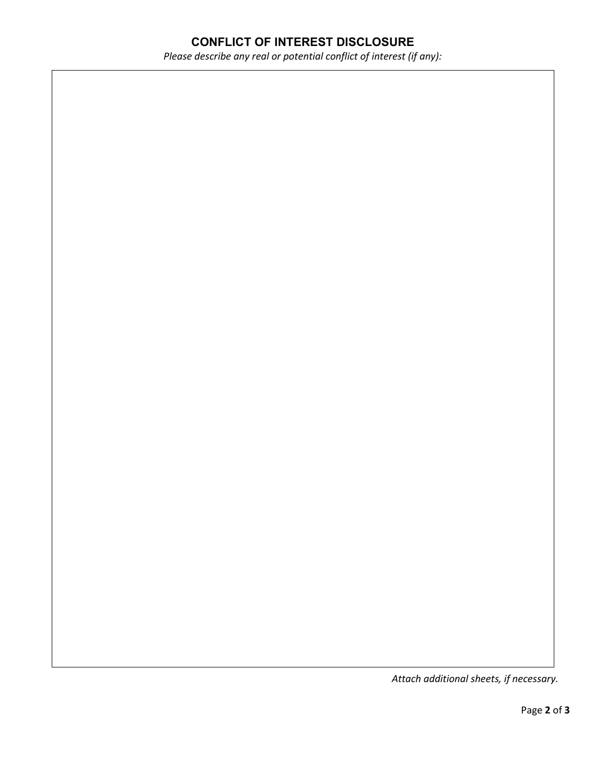# **CONFLICT OF INTEREST DISCLOSURE**

*Please describe any real or potential conflict of interest (if any):* 

*Attach additional sheets, if necessary.*